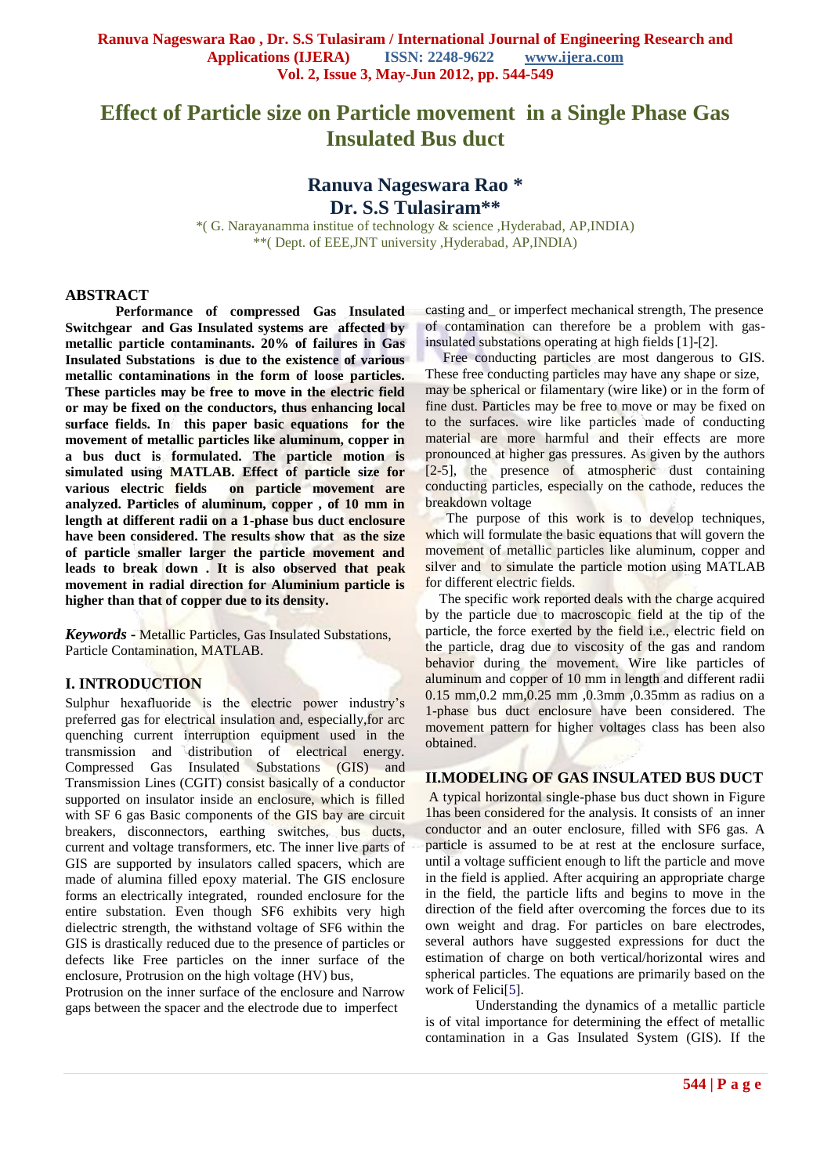# **Effect of Particle size on Particle movement in a Single Phase Gas Insulated Bus duct**

## **Ranuva Nageswara Rao \* Dr. S.S Tulasiram\*\***

\*( G. Narayanamma institue of technology & science ,Hyderabad, AP,INDIA) \*\*( Dept. of EEE,JNT university ,Hyderabad, AP,INDIA)

#### **ABSTRACT**

**Performance of compressed Gas Insulated Switchgear and Gas Insulated systems are affected by metallic particle contaminants. 20% of failures in Gas Insulated Substations is due to the existence of various metallic contaminations in the form of loose particles. These particles may be free to move in the electric field or may be fixed on the conductors, thus enhancing local surface fields. In this paper basic equations for the movement of metallic particles like aluminum, copper in a bus duct is formulated. The particle motion is simulated using MATLAB. Effect of particle size for various electric fields on particle movement are analyzed. Particles of aluminum, copper , of 10 mm in length at different radii on a 1-phase bus duct enclosure have been considered. The results show that as the size of particle smaller larger the particle movement and leads to break down . It is also observed that peak movement in radial direction for Aluminium particle is higher than that of copper due to its density.**

*Keywords* **-** Metallic Particles, Gas Insulated Substations, Particle Contamination, MATLAB.

#### **I. INTRODUCTION**

Sulphur hexafluoride is the electric power industry's preferred gas for electrical insulation and, especially,for arc quenching current interruption equipment used in the transmission and distribution of electrical energy. Compressed Gas Insulated Substations (GIS) and Transmission Lines (CGIT) consist basically of a conductor supported on insulator inside an enclosure, which is filled with SF 6 gas Basic components of the GIS bay are circuit breakers, disconnectors, earthing switches, bus ducts, current and voltage transformers, etc. The inner live parts of GIS are supported by insulators called spacers, which are made of alumina filled epoxy material. The GIS enclosure forms an electrically integrated, rounded enclosure for the entire substation. Even though SF6 exhibits very high dielectric strength, the withstand voltage of SF6 within the GIS is drastically reduced due to the presence of particles or defects like Free particles on the inner surface of the enclosure, Protrusion on the high voltage (HV) bus,

Protrusion on the inner surface of the enclosure and Narrow gaps between the spacer and the electrode due to imperfect

casting and\_ or imperfect mechanical strength, The presence of contamination can therefore be a problem with gasinsulated substations operating at high fields [1]-[2].

 Free conducting particles are most dangerous to GIS. These free conducting particles may have any shape or size, may be spherical or filamentary (wire like) or in the form of fine dust. Particles may be free to move or may be fixed on to the surfaces. wire like particles made of conducting material are more harmful and their effects are more pronounced at higher gas pressures. As given by the authors [2-5], the presence of atmospheric dust containing conducting particles, especially on the cathode, reduces the breakdown voltage

 The purpose of this work is to develop techniques, which will formulate the basic equations that will govern the movement of metallic particles like aluminum, copper and silver and to simulate the particle motion using MATLAB for different electric fields.

 The specific work reported deals with the charge acquired by the particle due to macroscopic field at the tip of the particle, the force exerted by the field i.e., electric field on the particle, drag due to viscosity of the gas and random behavior during the movement. Wire like particles of aluminum and copper of 10 mm in length and different radii 0.15 mm,0.2 mm,0.25 mm ,0.3mm ,0.35mm as radius on a 1-phase bus duct enclosure have been considered. The movement pattern for higher voltages class has been also obtained.

#### **II.MODELING OF GAS INSULATED BUS DUCT**

A typical horizontal single-phase bus duct shown in Figure 1has been considered for the analysis. It consists of an inner conductor and an outer enclosure, filled with SF6 gas. A particle is assumed to be at rest at the enclosure surface, until a voltage sufficient enough to lift the particle and move in the field is applied. After acquiring an appropriate charge in the field, the particle lifts and begins to move in the direction of the field after overcoming the forces due to its own weight and drag. For particles on bare electrodes, several authors have suggested expressions for duct the estimation of charge on both vertical/horizontal wires and spherical particles. The equations are primarily based on the work of Felici<sup>[5]</sup>.

Understanding the dynamics of a metallic particle is of vital importance for determining the effect of metallic contamination in a Gas Insulated System (GIS). If the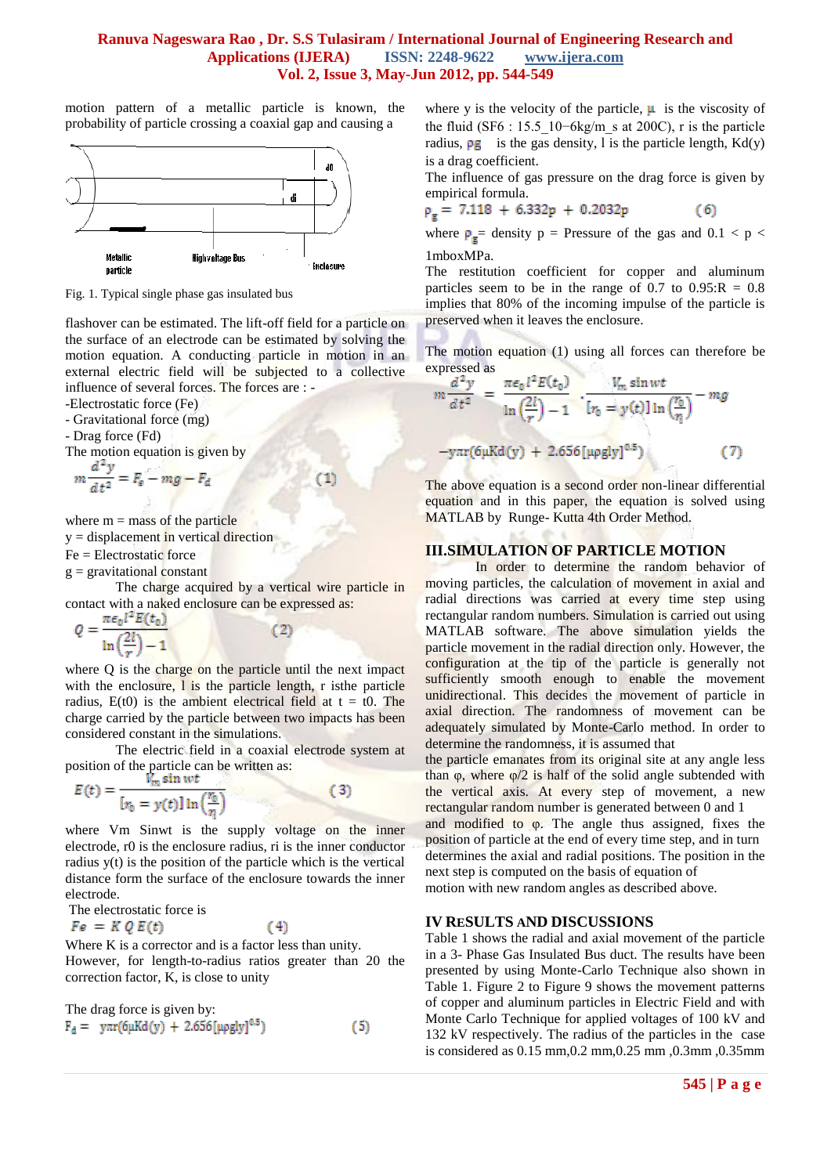#### **Ranuva Nageswara Rao , Dr. S.S Tulasiram / International Journal of Engineering Research and Applications (IJERA) ISSN: 2248-9622 www.ijera.com Vol. 2, Issue 3, May-Jun 2012, pp. 544-549**

motion pattern of a metallic particle is known, the probability of particle crossing a coaxial gap and causing a



Fig. 1. Typical single phase gas insulated bus

flashover can be estimated. The lift-off field for a particle on the surface of an electrode can be estimated by solving the motion equation. A conducting particle in motion in an external electric field will be subjected to a collective influence of several forces. The forces are : -

 $^{(1)}$ 

-Electrostatic force (Fe)

- Gravitational force (mg)

- Drag force (Fd)

The motion equation is given by

$$
m\frac{a^2y}{dt^2} = F_e - mg - F_d
$$

where  $m =$  mass of the particle

 $y = displacement$  in vertical direction

Fe = Electrostatic force

 $g =$  gravitational constant

The charge acquired by a vertical wire particle in contact with a naked enclosure can be expressed as:<br> $Q = \frac{\pi \epsilon_0 l^2 E(t_0)}{c^2 l^2}$ 

(2)

 $\ln\left(\frac{2l}{r}\right)$ 

where Q is the charge on the particle until the next impact with the enclosure,  $l$  is the particle length, r is the particle radius,  $E(t0)$  is the ambient electrical field at  $t = t0$ . The charge carried by the particle between two impacts has been considered constant in the simulations.

The electric field in a coaxial electrode system at position of the particle can be written as:

$$
E(t) = \frac{v_m \sin wt}{[r_0 = y(t)] \ln(\frac{r_0}{n})}
$$
(3)

where Vm Sinwt is the supply voltage on the inner electrode, r0 is the enclosure radius, ri is the inner conductor radius y(t) is the position of the particle which is the vertical distance form the surface of the enclosure towards the inner electrode.

The electrostatic force is

 $Fe = K Q E(t)$ 

Where K is a corrector and is a factor less than unity. However, for length-to-radius ratios greater than 20 the correction factor, K, is close to unity

 $(4)$ 

The drag force is given by:  
\n
$$
F_d = y\pi r (6\mu K d(y) + 2.656 [\mu \text{g} y]^{0.5})
$$
 (5)

where y is the velocity of the particle,  $\mu$  is the viscosity of the fluid (SF6 : 15.5\_10−6kg/m\_s at 200C), r is the particle radius,  $\rho$ g is the gas density, l is the particle length, Kd(y) is a drag coefficient.

The influence of gas pressure on the drag force is given by empirical formula.

$$
\rho_g = 7.118 + 6.332p + 0.2032p \tag{6}
$$

where  $\rho_{\mathbf{g}}$  = density  $p =$  Pressure of the gas and 0.1 < p < 1mboxMPa.

The restitution coefficient for copper and aluminum particles seem to be in the range of  $0.7$  to  $0.95$ : $R = 0.8$ implies that 80% of the incoming impulse of the particle is preserved when it leaves the enclosure.

The motion equation (1) using all forces can therefore be expressed as

$$
m\frac{d^2y}{dt^2} = \frac{\pi\epsilon_0 l^2 E(t_0)}{\ln\left(\frac{2l}{r}\right) - 1} \cdot \frac{V_m \sin wt}{[r_0 = y(t)]\ln\left(\frac{r_0}{r_1}\right)} - mg
$$
  
-y\pi r(6\mu Kd(y) + 2.656[\mu\rho g|y]^{0.5}) (7)

The above equation is a second order non-linear differential equation and in this paper, the equation is solved using MATLAB by Runge- Kutta 4th Order Method.

#### **III.SIMULATION OF PARTICLE MOTION**

In order to determine the random behavior of moving particles, the calculation of movement in axial and radial directions was carried at every time step using rectangular random numbers. Simulation is carried out using MATLAB software. The above simulation yields the particle movement in the radial direction only. However, the configuration at the tip of the particle is generally not sufficiently smooth enough to enable the movement unidirectional. This decides the movement of particle in axial direction. The randomness of movement can be adequately simulated by Monte-Carlo method. In order to determine the randomness, it is assumed that

the particle emanates from its original site at any angle less than φ, where  $\varphi/2$  is half of the solid angle subtended with the vertical axis. At every step of movement, a new rectangular random number is generated between 0 and 1 and modified to  $\varphi$ . The angle thus assigned, fixes the position of particle at the end of every time step, and in turn determines the axial and radial positions. The position in the next step is computed on the basis of equation of

motion with new random angles as described above.

#### **IV RESULTS AND DISCUSSIONS**

Table 1 shows the radial and axial movement of the particle in a 3- Phase Gas Insulated Bus duct. The results have been presented by using Monte-Carlo Technique also shown in Table 1. Figure 2 to Figure 9 shows the movement patterns of copper and aluminum particles in Electric Field and with Monte Carlo Technique for applied voltages of 100 kV and 132 kV respectively. The radius of the particles in the case is considered as 0.15 mm,0.2 mm,0.25 mm ,0.3mm ,0.35mm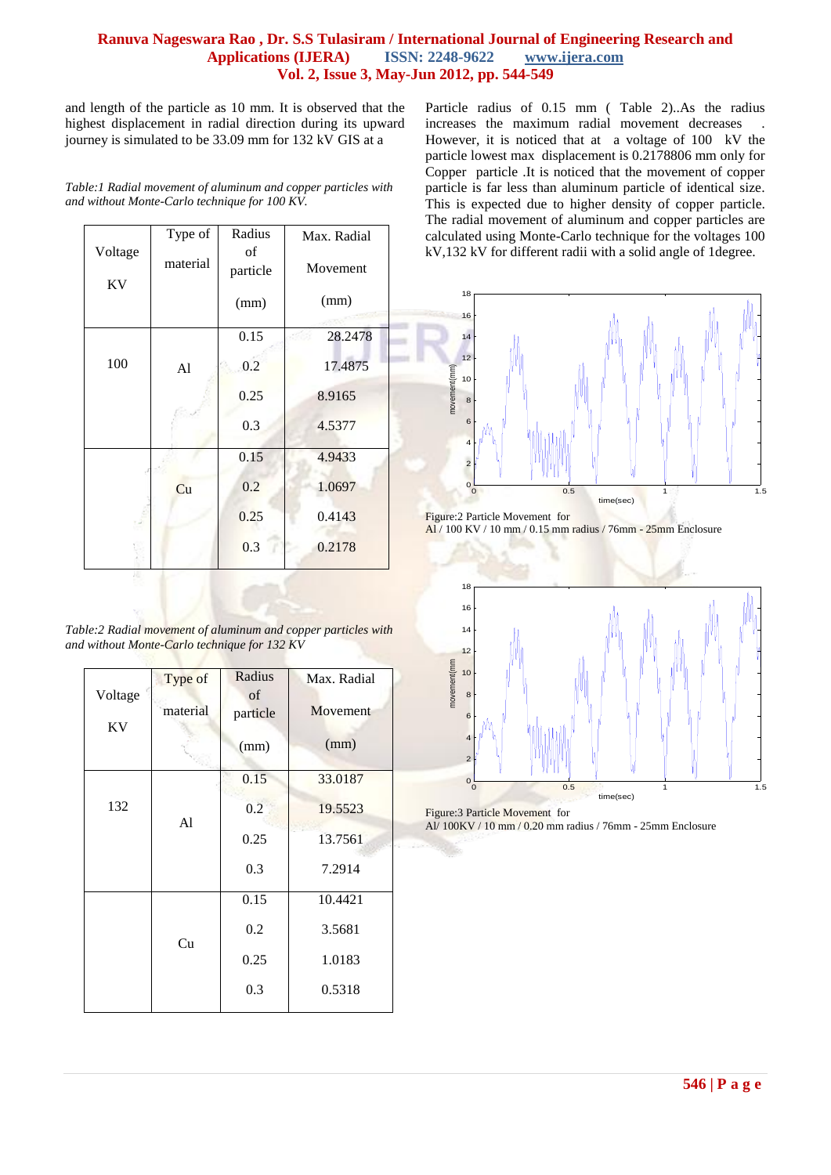## **Ranuva Nageswara Rao , Dr. S.S Tulasiram / International Journal of Engineering Research and Applications (IJERA) ISSN: 2248-9622 www.ijera.com Vol. 2, Issue 3, May-Jun 2012, pp. 544-549**

and length of the particle as 10 mm. It is observed that the highest displacement in radial direction during its upward journey is simulated to be 33.09 mm for 132 kV GIS at a

| Table: I Radial movement of aluminum and copper particles with |  |
|----------------------------------------------------------------|--|
| and without Monte-Carlo technique for 100 KV.                  |  |

| Voltage | Type of  | Radius<br>οf | Max. Radial    |
|---------|----------|--------------|----------------|
| KV      | material | particle     | Movement       |
|         |          | (mm)         | (mm)           |
|         |          | 0.15         | 28.2478<br>496 |
| 100     | Al       | 0.2          | 17.4875        |
|         |          | 0.25         | 8.9165         |
|         |          | 0.3          | 4.5377         |
|         |          | 0.15         | 4.9433         |
|         | Cu       | 0.2          | 1.0697         |
|         |          | 0.25         | 0.4143         |
|         |          | 0.3          | 0.2178         |

*Table:2 Radial movement of aluminum and copper particles with and without Monte-Carlo technique for 132 KV*

| Voltage | Type of<br>material | Radius<br>οf<br>particle | Max. Radial<br>Movement |
|---------|---------------------|--------------------------|-------------------------|
| KV      |                     | (mm)                     | (mm)                    |
|         |                     | 0.15                     | 33.0187                 |
| 132     | A1                  | 0.2                      | 19.5523                 |
|         |                     | 0.25                     | 13.7561                 |
|         |                     | 0.3                      | 7.2914                  |
|         |                     | 0.15                     | 10.4421                 |
|         | Cu                  | 0.2                      | 3.5681                  |
|         | 0.25                | 1.0183                   |                         |
|         |                     | 0.3                      | 0.5318                  |

Particle radius of 0.15 mm ( Table 2)..As the radius increases the maximum radial movement decreases However, it is noticed that at a voltage of 100 kV the particle lowest max displacement is 0.2178806 mm only for Copper particle .It is noticed that the movement of copper particle is far less than aluminum particle of identical size. This is expected due to higher density of copper particle. The radial movement of aluminum and copper particles are calculated using Monte-Carlo technique for the voltages 100 kV,132 kV for different radii with a solid angle of 1degree.



Figure:2 Particle Movement for Al / 100 KV / 10 mm / 0.15 mm radius / 76mm - 25mm Enclosure



Figure:3 Particle Movement for

Al/ 100KV / 10 mm / 0.20 mm radius / 76mm - 25mm Enclosure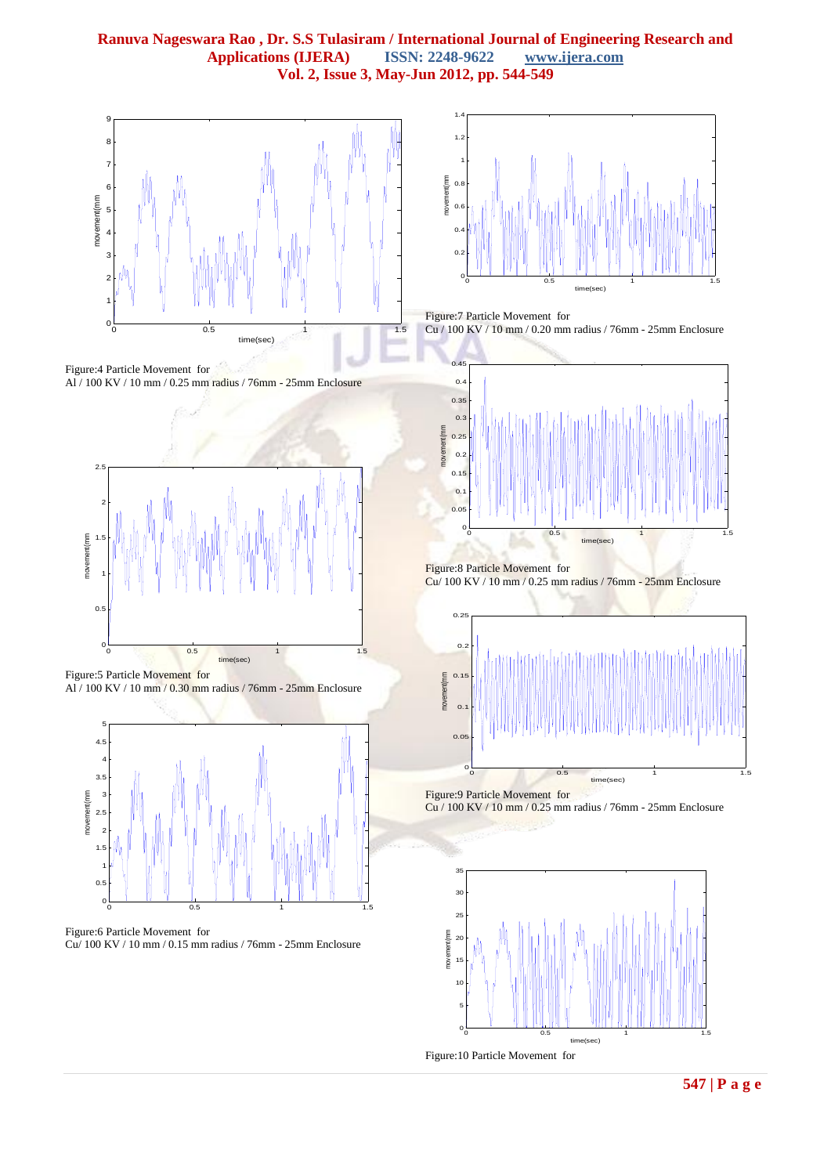





Figure:5 Particle Movement for Al / 100 KV / 10 mm / 0.30 mm radius / 76mm - 25mm Enclosure



Figure:6 Particle Movement for Cu/ 100 KV / 10 mm / 0.15 mm radius / 76mm - 25mm Enclosure



Figure:7 Particle Movement for Cu / 100 KV / 10 mm / 0.20 mm radius / 76mm - 25mm Enclosure



Figure:8 Particle Movement for Cu/ 100 KV / 10 mm / 0.25 mm radius / 76mm - 25mm Enclosure





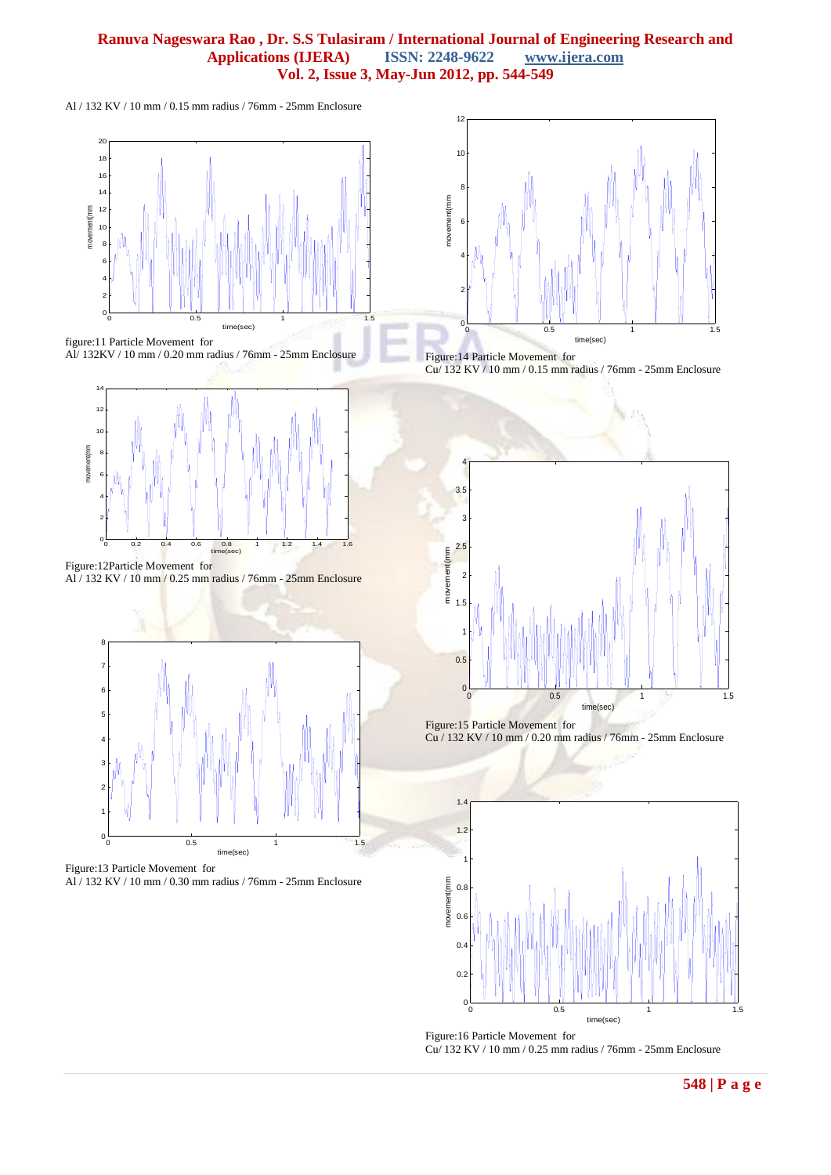## **Ranuva Nageswara Rao , Dr. S.S Tulasiram / International Journal of Engineering Research and**   $\Delta$ pplications (IJERA) **Vol. 2, Issue 3, May-Jun 2012, pp. 544-549**

Al / 132 KV / 10 mm / 0.15 mm radius / 76mm - 25mm Enclosure







Figure:12Particle Movement for Al / 132 KV / 10 mm / 0.25 mm radius / 76mm - 25mm Enclosure



Figure:13 Particle Movement for Al / 132 KV / 10 mm / 0.30 mm radius / 76mm - 25mm Enclosure







Figure:15 Particle Movement for Cu / 132 KV / 10 mm / 0.20 mm radius / 76mm - 25mm Enclosure



Figure:16 Particle Movement for Cu/ 132 KV / 10 mm / 0.25 mm radius / 76mm - 25mm Enclosure